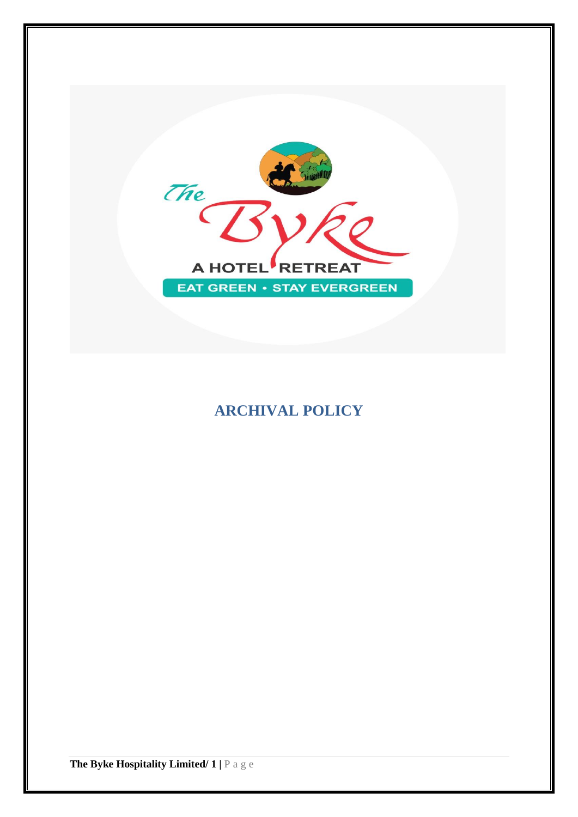

# **ARCHIVAL POLICY**

The Byke Hospitality Limited/ 1 | P a g e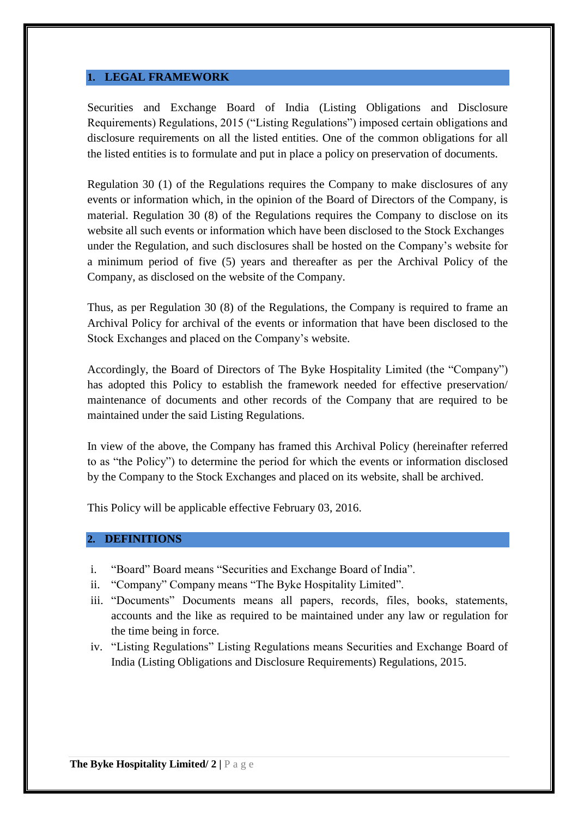# **1. LEGAL FRAMEWORK**

Securities and Exchange Board of India (Listing Obligations and Disclosure Requirements) Regulations, 2015 ("Listing Regulations") imposed certain obligations and disclosure requirements on all the listed entities. One of the common obligations for all the listed entities is to formulate and put in place a policy on preservation of documents.

Regulation 30 (1) of the Regulations requires the Company to make disclosures of any events or information which, in the opinion of the Board of Directors of the Company, is material. Regulation 30 (8) of the Regulations requires the Company to disclose on its website all such events or information which have been disclosed to the Stock Exchanges under the Regulation, and such disclosures shall be hosted on the Company's website for a minimum period of five (5) years and thereafter as per the Archival Policy of the Company, as disclosed on the website of the Company.

Thus, as per Regulation 30 (8) of the Regulations, the Company is required to frame an Archival Policy for archival of the events or information that have been disclosed to the Stock Exchanges and placed on the Company's website.

Accordingly, the Board of Directors of The Byke Hospitality Limited (the "Company") has adopted this Policy to establish the framework needed for effective preservation/ maintenance of documents and other records of the Company that are required to be maintained under the said Listing Regulations.

In view of the above, the Company has framed this Archival Policy (hereinafter referred to as "the Policy") to determine the period for which the events or information disclosed by the Company to the Stock Exchanges and placed on its website, shall be archived.

This Policy will be applicable effective February 03, 2016.

### **2. DEFINITIONS**

- i. "Board" Board means "Securities and Exchange Board of India".
- ii. "Company" Company means "The Byke Hospitality Limited".
- iii. "Documents" Documents means all papers, records, files, books, statements, accounts and the like as required to be maintained under any law or regulation for the time being in force.
- iv. "Listing Regulations" Listing Regulations means Securities and Exchange Board of India (Listing Obligations and Disclosure Requirements) Regulations, 2015.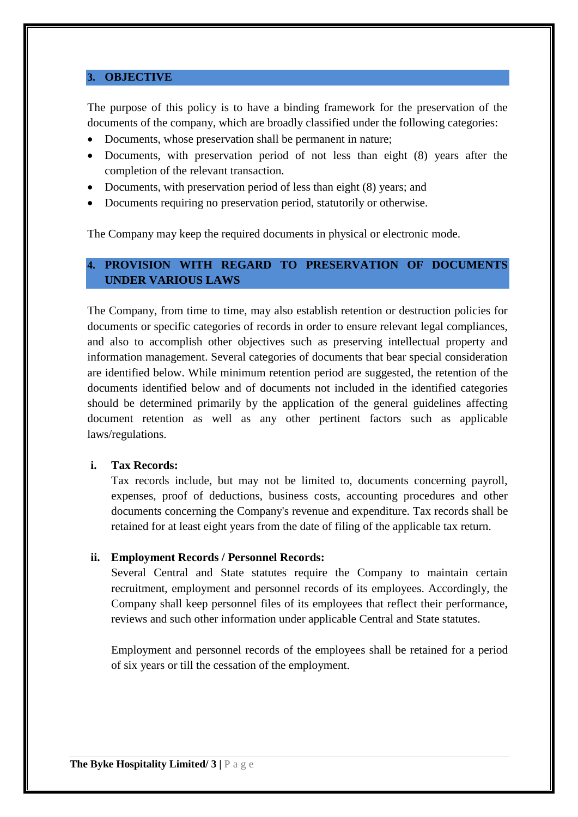# **3. OBJECTIVE**

The purpose of this policy is to have a binding framework for the preservation of the documents of the company, which are broadly classified under the following categories:

- Documents, whose preservation shall be permanent in nature;
- Documents, with preservation period of not less than eight (8) years after the completion of the relevant transaction.
- Documents, with preservation period of less than eight (8) years; and
- Documents requiring no preservation period, statutorily or otherwise.

The Company may keep the required documents in physical or electronic mode.

# **4. PROVISION WITH REGARD TO PRESERVATION OF DOCUMENTS UNDER VARIOUS LAWS**

The Company, from time to time, may also establish retention or destruction policies for documents or specific categories of records in order to ensure relevant legal compliances, and also to accomplish other objectives such as preserving intellectual property and information management. Several categories of documents that bear special consideration are identified below. While minimum retention period are suggested, the retention of the documents identified below and of documents not included in the identified categories should be determined primarily by the application of the general guidelines affecting document retention as well as any other pertinent factors such as applicable laws/regulations.

# **i. Tax Records:**

Tax records include, but may not be limited to, documents concerning payroll, expenses, proof of deductions, business costs, accounting procedures and other documents concerning the Company's revenue and expenditure. Tax records shall be retained for at least eight years from the date of filing of the applicable tax return.

#### **ii. Employment Records / Personnel Records:**

Several Central and State statutes require the Company to maintain certain recruitment, employment and personnel records of its employees. Accordingly, the Company shall keep personnel files of its employees that reflect their performance, reviews and such other information under applicable Central and State statutes.

Employment and personnel records of the employees shall be retained for a period of six years or till the cessation of the employment.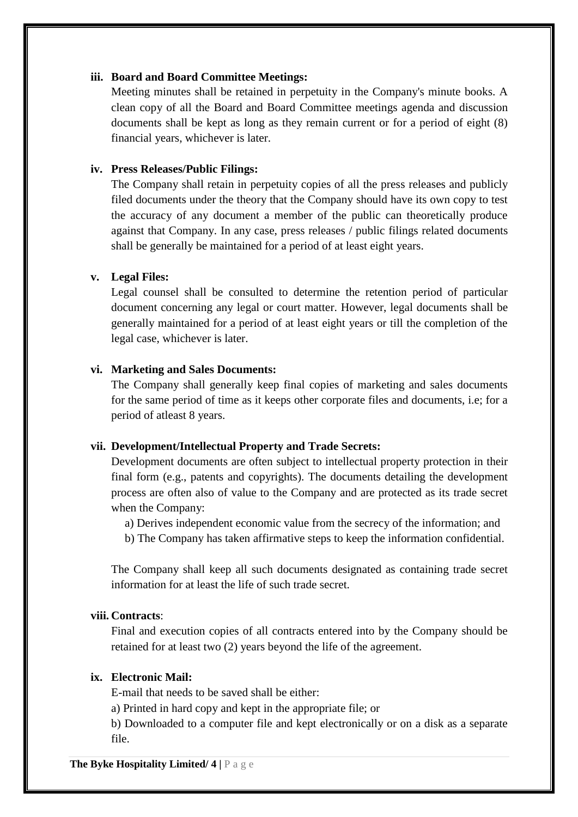#### **iii. Board and Board Committee Meetings:**

Meeting minutes shall be retained in perpetuity in the Company's minute books. A clean copy of all the Board and Board Committee meetings agenda and discussion documents shall be kept as long as they remain current or for a period of eight (8) financial years, whichever is later.

#### **iv. Press Releases/Public Filings:**

The Company shall retain in perpetuity copies of all the press releases and publicly filed documents under the theory that the Company should have its own copy to test the accuracy of any document a member of the public can theoretically produce against that Company. In any case, press releases / public filings related documents shall be generally be maintained for a period of at least eight years.

#### **v. Legal Files:**

Legal counsel shall be consulted to determine the retention period of particular document concerning any legal or court matter. However, legal documents shall be generally maintained for a period of at least eight years or till the completion of the legal case, whichever is later.

#### **vi. Marketing and Sales Documents:**

The Company shall generally keep final copies of marketing and sales documents for the same period of time as it keeps other corporate files and documents, i.e; for a period of atleast 8 years.

#### **vii. Development/Intellectual Property and Trade Secrets:**

Development documents are often subject to intellectual property protection in their final form (e.g., patents and copyrights). The documents detailing the development process are often also of value to the Company and are protected as its trade secret when the Company:

a) Derives independent economic value from the secrecy of the information; and

b) The Company has taken affirmative steps to keep the information confidential.

The Company shall keep all such documents designated as containing trade secret information for at least the life of such trade secret.

# **viii. Contracts**:

Final and execution copies of all contracts entered into by the Company should be retained for at least two (2) years beyond the life of the agreement.

# **ix. Electronic Mail:**

E-mail that needs to be saved shall be either:

a) Printed in hard copy and kept in the appropriate file; or

b) Downloaded to a computer file and kept electronically or on a disk as a separate file.